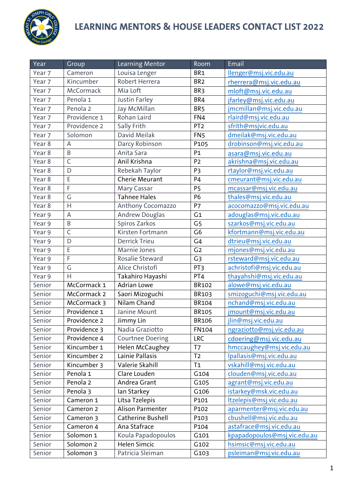

| Year                 | Group          | Learning Mentor                   | Room            | Email                        |
|----------------------|----------------|-----------------------------------|-----------------|------------------------------|
| Year 7               | Cameron        | Louisa Lenger                     | BR <sub>1</sub> | llenger@msj.vic.edu.au       |
| Year <sub>7</sub>    | Kincumber      | Robert Herrera<br>BR <sub>2</sub> |                 | rherrera@msj.vic.edu.au      |
| $\overline{Y}$ ear 7 | McCormack      | Mia Loft<br>BR <sub>3</sub>       |                 | mloft@msj.vic.edu.au         |
| Year 7               | Penola 1       | Justin Farley                     | BR4             | jfarley@msj.vic.edu.au       |
| Year 7               | Penola 2       | Jay McMillan                      | BR <sub>5</sub> | jmcmillan@msj.vic.edu.au     |
| Year 7               | Providence 1   | Rohan Laird                       | FN4             | rlaird@msj.vic.edu.au        |
| Year <sub>7</sub>    | Providence 2   | Sally Frith                       | PT <sub>2</sub> | sfrith@msjvic.edu.au         |
| Year 7               | Solomon        | David Meilak                      | FN <sub>5</sub> | dmeilak@msj.vic.edu.au       |
| Year 8               | A              | Darcy Robinson<br>P105            |                 | drobinson@msj.vic.edu.au     |
| Year 8               | B              | Anita Sara<br>P <sub>1</sub>      |                 | asara@msj.vic.edu.au         |
| Year 8               | $\overline{C}$ | Anil Krishna<br>P <sub>2</sub>    |                 | akrishna@msj.vic.edu.au      |
| Year 8               | D              | Rebekah Taylor<br>P <sub>3</sub>  |                 | rtaylor@msj.vic.edu.au       |
| Year 8               | E              | <b>Cherie Meurant</b><br>P4       |                 | cmeurant@msj.vic.edu.au      |
| Year 8               | $\mathsf F$    | Mary Cassar<br>P <sub>5</sub>     |                 | mcassar@msj.vic.edu.au       |
| Year 8               | G              | <b>Tahnee Hales</b>               | P6              | thales@msj.vic.edu.au        |
| Year 8               | H              | Anthony Cocomazzo                 | P7              | acocomazzo@msj.vic.edu.au    |
| Year 9               | $\mathsf{A}$   | <b>Andrew Douglas</b>             | G <sub>1</sub>  | adouglas@msj.vic.edu.au      |
| Year 9               | $\overline{B}$ | Spiros Zarkos                     | G <sub>5</sub>  | szarkos@msj.vic.edu.au       |
| Year 9               | $\mathsf C$    | Kirsten Fortmann                  | $\overline{G6}$ | kfortmann@msj.vic.edu.au     |
| Year 9               | D              | <b>Derrick Trieu</b>              | G4              | dtrieu@msj.vic.edu.au        |
| Year 9               | $\mathsf E$    | Marnie Jones                      | G <sub>2</sub>  | mjones@msj.vic.edu.au        |
| Year 9               | F              | Rosalie Steward                   | G <sub>3</sub>  | rsteward@msj.vic.edu.au      |
| Year 9               | $\overline{G}$ | Alice Christofi                   | PT3             | achristofi@msj.vic.edu.au    |
| Year 9               | H              | Takahiro Hayashi                  | PT4             | thayahshi@msj.vic.edu.au     |
| Senior               | McCormack 1    | <b>Adrian Lowe</b>                | <b>BR102</b>    | alowe@msj.vic.edu.au         |
| Senior               | McCormack 2    | Saori Mizoguchi                   | BR103           | smizoguchi@msj.vic.edu.au    |
| Senior               | McCormack 3    | Nilam Chand                       | <b>BR104</b>    | nchand@msj.vic.edu.au        |
| Senior               | Providence 1   | Janine Mount                      | <b>BR105</b>    | jmount@msj.vic.edu.au        |
| Senior               | Providence 2   | Jimmy Lin                         | <b>BR106</b>    | jlin@msj.vic.edu.au          |
| Senior               | Providence 3   | Nadia Graziotto                   | <b>FN104</b>    | ngraziotto@msj.vic.edu.au    |
| Senior               | Providence 4   | <b>Courtnee Doering</b>           | LRC             | cdoering@msj.vic.edu.au      |
| Senior               | Kincumber 1    | <b>Helen McCaughey</b>            | T7              | hmccaughey@msj.vic.edu.au    |
| Senior               | Kincumber 2    | Lainie Pallasis                   | T <sub>2</sub>  | Ipallasis@msj.vic.edu.au     |
| Senior               | Kincumber 3    | Valerie Skahill                   | T <sub>1</sub>  | vskahill@msj.vic.edu.au      |
| Senior               | Penola 1       | Clare Louden                      | G104            | clouden@msj.vic.edu.au       |
| Senior               | Penola 2       | Andrea Grant                      | G105            | agrant@msj.vic.edu.au        |
| Senior               | Penola 3       | lan Starkey                       | G106            | istarkey@msk.vic.edu.au      |
| Senior               | Cameron 1      | Litsa Tzelepis                    | P101            | Itzelepis@msj.vic.edu.au     |
| Senior               | Cameron 2      | Alison Parmenter                  | P102            | aparmenter@msj.vic.edu.au    |
| Senior               | Cameron 3      | Catherine Bushell                 | P103            | cbushell@msj.vic.edu.au      |
| Senior               | Cameron 4      | Ana Stafrace                      | P104            | astafrace@msj.vic.edu.au     |
| Senior               | Solomon 1      | Koula Papadopoulos                | G101            | kpapadopoulos@msj.vic.edu.au |
| Senior               | Solomon 2      | Helen Simcic                      | G102            | hsimsic@msj.vic.edu.au       |
| Senior               | Solomon 3      | Patricia Sleiman                  | G103            | psleiman@msj.vic.edu.au      |